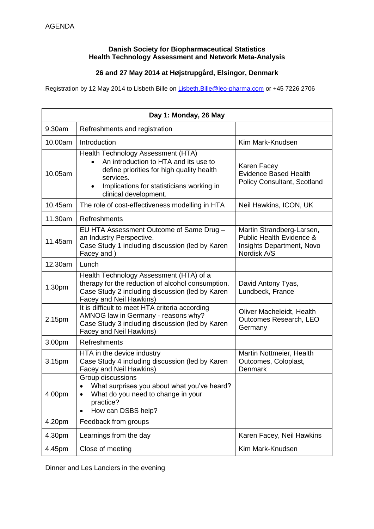## **Danish Society for Biopharmaceutical Statistics Health Technology Assessment and Network Meta-Analysis**

## **26 and 27 May 2014 at Højstrupgård, Elsingor, Denmark**

Registration by 12 May 2014 to Lisbeth Bille on Lisbeth. Bille@leo-pharma.com or +45 7226 2706

| Day 1: Monday, 26 May |                                                                                                                                                                                                                          |                                                                                                   |
|-----------------------|--------------------------------------------------------------------------------------------------------------------------------------------------------------------------------------------------------------------------|---------------------------------------------------------------------------------------------------|
| 9.30am                | Refreshments and registration                                                                                                                                                                                            |                                                                                                   |
| 10.00am               | Introduction                                                                                                                                                                                                             | Kim Mark-Knudsen                                                                                  |
| 10.05am               | Health Technology Assessment (HTA)<br>An introduction to HTA and its use to<br>define priorities for high quality health<br>services.<br>Implications for statisticians working in<br>$\bullet$<br>clinical development. | Karen Facey<br><b>Evidence Based Health</b><br>Policy Consultant, Scotland                        |
| 10.45am               | The role of cost-effectiveness modelling in HTA                                                                                                                                                                          | Neil Hawkins, ICON, UK                                                                            |
| 11.30am               | Refreshments                                                                                                                                                                                                             |                                                                                                   |
| 11.45am               | EU HTA Assessment Outcome of Same Drug -<br>an Industry Perspective.<br>Case Study 1 including discussion (led by Karen<br>Facey and)                                                                                    | Martin Strandberg-Larsen,<br>Public Health Evidence &<br>Insights Department, Novo<br>Nordisk A/S |
| 12.30am               | Lunch                                                                                                                                                                                                                    |                                                                                                   |
| 1.30pm                | Health Technology Assessment (HTA) of a<br>therapy for the reduction of alcohol consumption.<br>Case Study 2 including discussion (led by Karen<br>Facey and Neil Hawkins)                                               | David Antony Tyas,<br>Lundbeck, France                                                            |
| 2.15pm                | It is difficult to meet HTA criteria according<br>AMNOG law in Germany - reasons why?<br>Case Study 3 including discussion (led by Karen<br>Facey and Neil Hawkins)                                                      | Oliver Macheleidt, Health<br>Outcomes Research, LEO<br>Germany                                    |
| 3.00pm                | Refreshments                                                                                                                                                                                                             |                                                                                                   |
| 3.15pm                | HTA in the device industry<br>Case Study 4 including discussion (led by Karen<br>Facey and Neil Hawkins)                                                                                                                 | Martin Nottmeier, Health<br>Outcomes, Coloplast,<br>Denmark                                       |
| 4.00pm                | Group discussions<br>What surprises you about what you've heard?<br>What do you need to change in your<br>٠<br>practice?<br>How can DSBS help?<br>$\bullet$                                                              |                                                                                                   |
| 4.20pm                | Feedback from groups                                                                                                                                                                                                     |                                                                                                   |
| 4.30pm                | Learnings from the day                                                                                                                                                                                                   | Karen Facey, Neil Hawkins                                                                         |
| 4.45pm                | Close of meeting                                                                                                                                                                                                         | Kim Mark-Knudsen                                                                                  |

Dinner and Les Lanciers in the evening